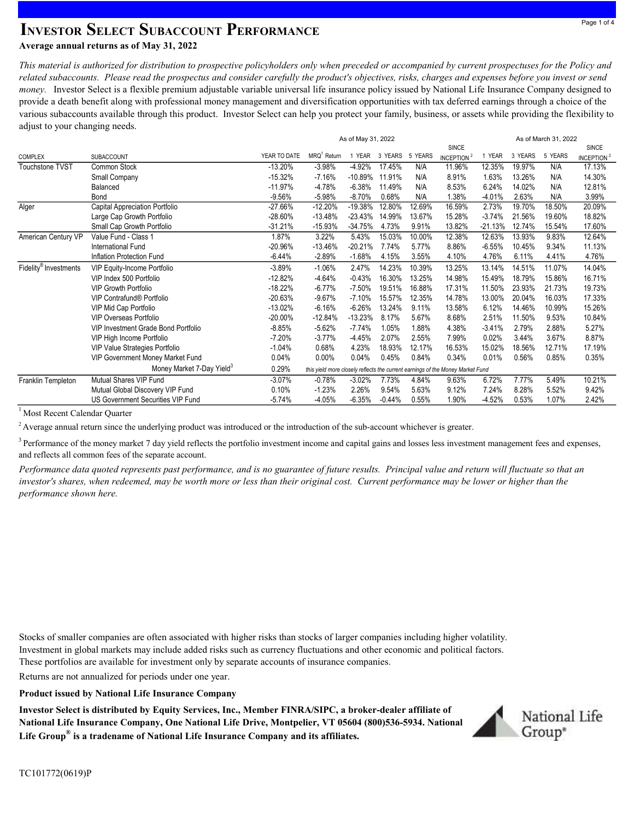# INVESTOR SELECT SUBACCOUNT PERFORMANCE

# Average annual returns as of May 31, 2022

This material is authorized for distribution to prospective policyholders only when preceded or accompanied by current prospectuses for the Policy and related subaccounts. Please read the prospectus and consider carefully the product's objectives, risks, charges and expenses before you invest or send money. Investor Select is a flexible premium adjustable variable universal life insurance policy issued by National Life Insurance Company designed to provide a death benefit along with professional money management and diversification opportunities with tax deferred earnings through a choice of the various subaccounts available through this product. Investor Select can help you protect your family, business, or assets while providing the flexibility to adjust to your changing needs.

|                                   |                                       |                                                                                         | As of May 31, 2022      |           |          |         |                        |           | As of March 31, 2022 |         |                        |  |  |
|-----------------------------------|---------------------------------------|-----------------------------------------------------------------------------------------|-------------------------|-----------|----------|---------|------------------------|-----------|----------------------|---------|------------------------|--|--|
|                                   |                                       |                                                                                         |                         |           |          |         | <b>SINCE</b>           |           |                      |         | SINCE                  |  |  |
| <b>COMPLEX</b>                    | <b>SUBACCOUNT</b>                     | YEAR TO DATE                                                                            | MRQ <sup>1</sup> Return | 1 YEAR    | 3 YEARS  | 5 YEARS | INCEPTION <sup>2</sup> | 1 YEAR    | 3 YEARS              | 5 YEARS | INCEPTION <sup>2</sup> |  |  |
| Touchstone TVST                   | Common Stock                          | $-13.20%$                                                                               | $-3.98%$                | -4.92%    | 17.45%   | N/A     | 11.96%                 | 12.35%    | 19.97%               | N/A     | 17.13%                 |  |  |
|                                   | Small Company                         | $-15.32%$                                                                               | $-7.16%$                | $-10.89%$ | 11.91%   | N/A     | 8.91%                  | 1.63%     | 13.26%               | N/A     | 14.30%                 |  |  |
|                                   | Balanced                              | $-11.97%$                                                                               | $-4.78%$                | $-6.38%$  | 11.49%   | N/A     | 8.53%                  | 6.24%     | 14.02%               | N/A     | 12.81%                 |  |  |
|                                   | Bond                                  | $-9.56%$                                                                                | $-5.98%$                | $-8.70%$  | 0.68%    | N/A     | 1.38%                  | $-4.01%$  | 2.63%                | N/A     | 3.99%                  |  |  |
| Alger                             | Capital Appreciation Portfolio        | $-27.66%$                                                                               | $-12.20%$               | $-19.38%$ | 12.80%   | 12.69%  | 16.59%                 | 2.73%     | 19.70%               | 18.50%  | 20.09%                 |  |  |
|                                   | Large Cap Growth Portfolio            | $-28.60%$                                                                               | $-13.48%$               | $-23.43%$ | 14.99%   | 13.67%  | 15.28%                 | $-3.74%$  | 21.56%               | 19.60%  | 18.82%                 |  |  |
|                                   | Small Cap Growth Portfolio            | $-31.21%$                                                                               | $-15.93%$               | $-34.75%$ | 4.73%    | 9.91%   | 13.82%                 | $-21.13%$ | 12.74%               | 15.54%  | 17.60%                 |  |  |
| American Century VP               | Value Fund - Class 1                  | 1.87%                                                                                   | 3.22%                   | 5.43%     | 15.03%   | 10.00%  | 12.38%                 | 12.63%    | 13.93%               | 9.83%   | 12.64%                 |  |  |
|                                   | International Fund                    | $-20.96%$                                                                               | $-13.46%$               | $-20.21%$ | 7.74%    | 5.77%   | 8.86%                  | $-6.55%$  | 10.45%               | 9.34%   | 11.13%                 |  |  |
|                                   | Inflation Protection Fund             | $-6.44%$                                                                                | $-2.89%$                | $-1.68%$  | 4.15%    | 3.55%   | 4.10%                  | 4.76%     | 6.11%                | 4.41%   | 4.76%                  |  |  |
| Fidelity <sup>®</sup> Investments | VIP Equity-Income Portfolio           | $-3.89%$                                                                                | $-1.06%$                | 2.47%     | 14.23%   | 10.39%  | 13.25%                 | 13.14%    | 14.51%               | 11.07%  | 14.04%                 |  |  |
|                                   | VIP Index 500 Portfolio               | $-12.82%$                                                                               | $-4.64%$                | $-0.43%$  | 16.30%   | 13.25%  | 14.98%                 | 15.49%    | 18.79%               | 15.86%  | 16.71%                 |  |  |
|                                   | <b>VIP Growth Portfolio</b>           | $-18.22%$                                                                               | $-6.77%$                | $-7.50%$  | 19.51%   | 16.88%  | 17.31%                 | 11.50%    | 23.93%               | 21.73%  | 19.73%                 |  |  |
|                                   | VIP Contrafund® Portfolio             | $-20.63%$                                                                               | $-9.67%$                | $-7.10%$  | 15.57%   | 12.35%  | 14.78%                 | 13.00%    | 20.04%               | 16.03%  | 17.33%                 |  |  |
|                                   | VIP Mid Cap Portfolio                 | $-13.02%$                                                                               | $-6.16%$                | $-6.26%$  | 13.24%   | 9.11%   | 13.58%                 | 6.12%     | 14.46%               | 10.99%  | 15.26%                 |  |  |
|                                   | <b>VIP Overseas Portfolio</b>         | $-20.00\%$                                                                              | $-12.84%$               | $-13.23%$ | 8.17%    | 5.67%   | 8.68%                  | 2.51%     | 11.50%               | 9.53%   | 10.84%                 |  |  |
|                                   | VIP Investment Grade Bond Portfolio   | $-8.85%$                                                                                | $-5.62%$                | $-7.74%$  | 1.05%    | 1.88%   | 4.38%                  | $-3.41%$  | 2.79%                | 2.88%   | 5.27%                  |  |  |
|                                   | VIP High Income Portfolio             | $-7.20%$                                                                                | $-3.77%$                | $-4.45%$  | 2.07%    | 2.55%   | 7.99%                  | 0.02%     | 3.44%                | 3.67%   | 8.87%                  |  |  |
|                                   | VIP Value Strategies Portfolio        | $-1.04%$                                                                                | 0.68%                   | 4.23%     | 18.93%   | 12.17%  | 16.53%                 | 15.02%    | 18.56%               | 12.71%  | 17.19%                 |  |  |
|                                   | VIP Government Money Market Fund      | 0.04%                                                                                   | 0.00%                   | 0.04%     | 0.45%    | 0.84%   | 0.34%                  | 0.01%     | 0.56%                | 0.85%   | 0.35%                  |  |  |
|                                   | Money Market 7-Day Yield <sup>3</sup> | 0.29%<br>this yield more closely reflects the current earnings of the Money Market Fund |                         |           |          |         |                        |           |                      |         |                        |  |  |
| Franklin Templeton                | Mutual Shares VIP Fund                | $-3.07%$                                                                                | $-0.78%$                | $-3.02%$  | 7.73%    | 4.84%   | 9.63%                  | 6.72%     | 7.77%                | 5.49%   | 10.21%                 |  |  |
|                                   | Mutual Global Discovery VIP Fund      | 0.10%                                                                                   | $-1.23%$                | 2.26%     | 9.54%    | 5.63%   | 9.12%                  | 7.24%     | 8.28%                | 5.52%   | 9.42%                  |  |  |
|                                   | US Government Securities VIP Fund     | $-5.74%$                                                                                | $-4.05%$                | $-6.35%$  | $-0.44%$ | 0.55%   | 1.90%                  | $-4.52%$  | 0.53%                | 1.07%   | 2.42%                  |  |  |

<sup>1</sup> Most Recent Calendar Quarter

<sup>2</sup> Average annual return since the underlying product was introduced or the introduction of the sub-account whichever is greater.

 $3$  Performance of the money market 7 day yield reflects the portfolio investment income and capital gains and losses less investment management fees and expenses, and reflects all common fees of the separate account.

Performance data quoted represents past performance, and is no guarantee of future results. Principal value and return will fluctuate so that an investor's shares, when redeemed, may be worth more or less than their original cost. Current performance may be lower or higher than the performance shown here.

Stocks of smaller companies are often associated with higher risks than stocks of larger companies including higher volatility. Investment in global markets may include added risks such as currency fluctuations and other economic and political factors. These portfolios are available for investment only by separate accounts of insurance companies.

Returns are not annualized for periods under one year.

Product issued by National Life Insurance Company

Investor Select is distributed by Equity Services, Inc., Member FINRA/SIPC, a broker-dealer affiliate of National Life Insurance Company, One National Life Drive, Montpelier, VT 05604 (800)536-5934. National Life Group $^\circ$  is a tradename of National Life Insurance Company and its affiliates.

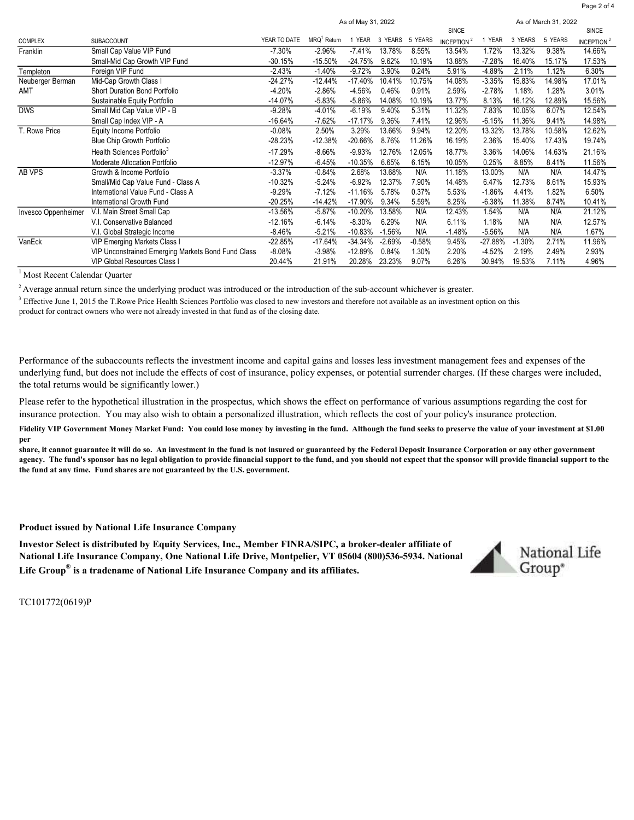|                     |                                                    |              | $\sim$ 0. $\sim$ $\sim$ $\sim$ $\sim$ $\sim$ $\sim$ $\sim$ |            |          |          |                  |           | , to of inter on the replace |         |                        |
|---------------------|----------------------------------------------------|--------------|------------------------------------------------------------|------------|----------|----------|------------------|-----------|------------------------------|---------|------------------------|
|                     |                                                    |              |                                                            |            |          |          | <b>SINCE</b>     |           |                              |         | <b>SINCE</b>           |
| <b>COMPLEX</b>      | <b>SUBACCOUNT</b>                                  | YEAR TO DATE | MRQ <sup>1</sup> Return                                    | 1 YEAR     | 3 YEARS  | 5 YEARS  | <b>INCEPTION</b> | 1 YEAR    | 3 YEARS                      | 5 YEARS | INCEPTION <sup>2</sup> |
| Franklin            | Small Cap Value VIP Fund                           | $-7.30%$     | $-2.96%$                                                   | $-7.41%$   | 13.78%   | 8.55%    | 13.54%           | 1.72%     | 13.32%                       | 9.38%   | 14.66%                 |
|                     | Small-Mid Cap Growth VIP Fund                      | $-30.15%$    | $-15.50%$                                                  | $-24.75%$  | 9.62%    | 10.19%   | 13.88%           | $-7.28%$  | 16.40%                       | 15.17%  | 17.53%                 |
| Templeton           | Foreign VIP Fund                                   | $-2.43%$     | $-1.40%$                                                   | $-9.72%$   | 3.90%    | 0.24%    | 5.91%            | -4.89%    | 2.11%                        | 1.12%   | 6.30%                  |
| Neuberger Berman    | Mid-Cap Growth Class I                             | $-24.27%$    | $-12.44%$                                                  | $-17.40%$  | 10.41%   | 10.75%   | 14.08%           | $-3.35%$  | 15.83%                       | 14.98%  | 17.01%                 |
| AMT                 | Short Duration Bond Portfolio                      | $-4.20%$     | -2.86%                                                     | $-4.56%$   | 0.46%    | 0.91%    | 2.59%            | $-2.78%$  | 1.18%                        | 1.28%   | 3.01%                  |
|                     | Sustainable Equity Portfolio                       | -14.07%      | $-5.83%$                                                   | $-5.86%$   | 14.08%   | 10.19%   | 13.77%           | 8.13%     | 16.12%                       | 12.89%  | 15.56%                 |
| <b>DWS</b>          | Small Mid Cap Value VIP - B                        | $-9.28%$     | $-4.01%$                                                   | $-6.19%$   | 9.40%    | 5.31%    | 11.32%           | 7.83%     | 10.05%                       | 6.07%   | 12.54%                 |
|                     | Small Cap Index VIP - A                            | $-16.64%$    | $-7.62%$                                                   | -17.17%    | 9.36%    | 7.41%    | 12.96%           | $-6.15%$  | 11.36%                       | 9.41%   | 14.98%                 |
| T. Rowe Price       | Equity Income Portfolio                            | $-0.08%$     | 2.50%                                                      | 3.29%      | 13.66%   | 9.94%    | 12.20%           | 13.32%    | 13.78%                       | 10.58%  | 12.62%                 |
|                     | <b>Blue Chip Growth Portfolio</b>                  | $-28.23%$    | $-12.38%$                                                  | $-20.66%$  | 8.76%    | 11.26%   | 16.19%           | 2.36%     | 15.40%                       | 17.43%  | 19.74%                 |
|                     | Health Sciences Portfolio <sup>3</sup>             | $-17.29%$    | $-8.66%$                                                   | $-9.93%$   | 12.76%   | 12.05%   | 18.77%           | 3.36%     | 14.06%                       | 14.63%  | 21.16%                 |
|                     | Moderate Allocation Portfolio                      | $-12.97%$    | $-6.45%$                                                   | $-10.35%$  | 6.65%    | 6.15%    | 10.05%           | 0.25%     | 8.85%                        | 8.41%   | 11.56%                 |
| AB VPS              | Growth & Income Portfolio                          | $-3.37%$     | $-0.84%$                                                   | 2.68%      | 13.68%   | N/A      | 11.18%           | 13.00%    | N/A                          | N/A     | 14.47%                 |
|                     | Small/Mid Cap Value Fund - Class A                 | $-10.32%$    | $-5.24%$                                                   | $-6.92%$   | 12.37%   | 7.90%    | 14.48%           | 6.47%     | 12.73%                       | 8.61%   | 15.93%                 |
|                     | International Value Fund - Class A                 | $-9.29%$     | $-7.12%$                                                   | $-11.16%$  | 5.78%    | 0.37%    | 5.53%            | $-1.86%$  | 4.41%                        | 1.82%   | 6.50%                  |
|                     | International Growth Fund                          | $-20.25%$    | $-14.42%$                                                  | -17.90%    | 9.34%    | 5.59%    | 8.25%            | $-6.38%$  | 11.38%                       | 8.74%   | 10.41%                 |
| Invesco Oppenheimer | V.I. Main Street Small Cap                         | $-13.56%$    | $-5.87%$                                                   | $-10.20%$  | 13.58%   | N/A      | 12.43%           | .54%      | N/A                          | N/A     | 21.12%                 |
|                     | V.I. Conservative Balanced                         | $-12.16%$    | $-6.14%$                                                   | $-8.30%$   | 6.29%    | N/A      | 6.11%            | 1.18%     | N/A                          | N/A     | 12.57%                 |
|                     | V.I. Global Strategic Income                       | -8.46%       | $-5.21%$                                                   | $-10.83\%$ | $-1.56%$ | N/A      | $-1.48%$         | $-5.56%$  | N/A                          | N/A     | 1.67%                  |
| VanEck              | VIP Emerging Markets Class I                       | $-22.85%$    | $-17.64%$                                                  | $-34.34%$  | $-2.69%$ | $-0.58%$ | 9.45%            | $-27.88%$ | $-1.30%$                     | 2.71%   | 11.96%                 |
|                     | VIP Unconstrained Emerging Markets Bond Fund Class | $-8.08%$     | $-3.98%$                                                   | $-12.89%$  | 0.84%    | 1.30%    | 2.20%            | $-4.52%$  | 2.19%                        | 2.49%   | 2.93%                  |
|                     | <b>VIP Global Resources Class I</b>                | 20.44%       | 21.91%                                                     | 20.28%     | 23.23%   | 9.07%    | 6.26%            | 30.94%    | 19.53%                       | 7.11%   | 4.96%                  |

As of May 31, 2022

### <sup>1</sup> Most Recent Calendar Quarter

 $2$  Average annual return since the underlying product was introduced or the introduction of the sub-account whichever is greater.

 $<sup>3</sup>$  Effective June 1, 2015 the T.Rowe Price Health Sciences Portfolio was closed to new investors and therefore not available as an investment option on this</sup> product for contract owners who were not already invested in that fund as of the closing date.

Performance of the subaccounts reflects the investment income and capital gains and losses less investment management fees and expenses of the underlying fund, but does not include the effects of cost of insurance, policy expenses, or potential surrender charges. (If these charges were included, the total returns would be significantly lower.)

Please refer to the hypothetical illustration in the prospectus, which shows the effect on performance of various assumptions regarding the cost for insurance protection. You may also wish to obtain a personalized illustration, which reflects the cost of your policy's insurance protection.

Fidelity VIP Government Money Market Fund: You could lose money by investing in the fund. Although the fund seeks to preserve the value of your investment at \$1.00 per

share, it cannot guarantee it will do so. An investment in the fund is not insured or guaranteed by the Federal Deposit Insurance Corporation or any other government agency. The fund's sponsor has no legal obligation to provide financial support to the fund, and you should not expect that the sponsor will provide financial support to the the fund at any time. Fund shares are not guaranteed by the U.S. government.

#### Product issued by National Life Insurance Company

Investor Select is distributed by Equity Services, Inc., Member FINRA/SIPC, a broker-dealer affiliate of National Life Insurance Company, One National Life Drive, Montpelier, VT 05604 (800)536-5934. National Life Group $^\circ$  is a tradename of National Life Insurance Company and its affiliates.



As of March 31, 2022

Page 2 of 4

TC101772(0619)P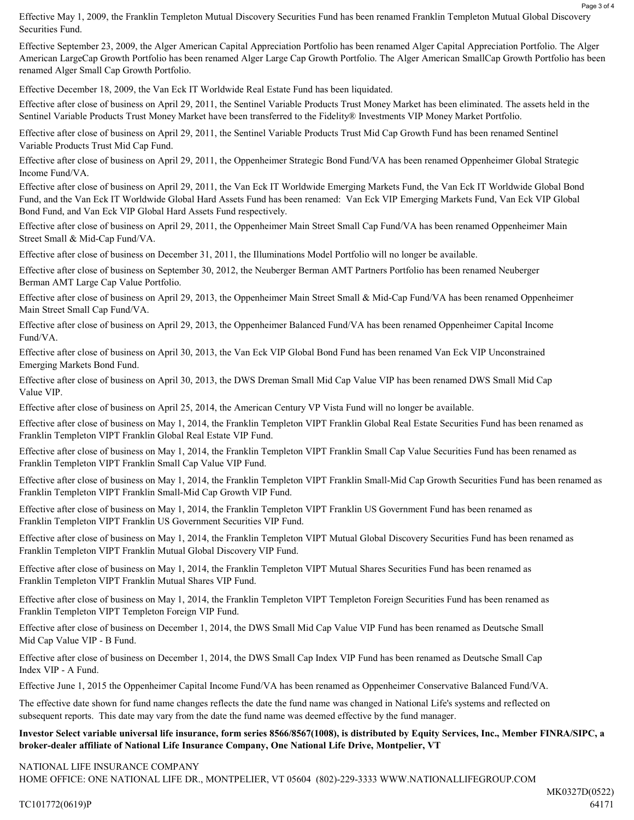Effective May 1, 2009, the Franklin Templeton Mutual Discovery Securities Fund has been renamed Franklin Templeton Mutual Global Discovery Securities Fund.

Effective September 23, 2009, the Alger American Capital Appreciation Portfolio has been renamed Alger Capital Appreciation Portfolio. The Alger American LargeCap Growth Portfolio has been renamed Alger Large Cap Growth Portfolio. The Alger American SmallCap Growth Portfolio has been renamed Alger Small Cap Growth Portfolio.

Effective December 18, 2009, the Van Eck IT Worldwide Real Estate Fund has been liquidated.

Effective after close of business on April 29, 2011, the Sentinel Variable Products Trust Money Market has been eliminated. The assets held in the Sentinel Variable Products Trust Money Market have been transferred to the Fidelity® Investments VIP Money Market Portfolio.

Effective after close of business on April 29, 2011, the Sentinel Variable Products Trust Mid Cap Growth Fund has been renamed Sentinel Variable Products Trust Mid Cap Fund.

Effective after close of business on April 29, 2011, the Oppenheimer Strategic Bond Fund/VA has been renamed Oppenheimer Global Strategic Income Fund/VA.

Effective after close of business on April 29, 2011, the Van Eck IT Worldwide Emerging Markets Fund, the Van Eck IT Worldwide Global Bond Fund, and the Van Eck IT Worldwide Global Hard Assets Fund has been renamed: Van Eck VIP Emerging Markets Fund, Van Eck VIP Global Bond Fund, and Van Eck VIP Global Hard Assets Fund respectively.

Effective after close of business on April 29, 2011, the Oppenheimer Main Street Small Cap Fund/VA has been renamed Oppenheimer Main Street Small & Mid-Cap Fund/VA.

Effective after close of business on December 31, 2011, the Illuminations Model Portfolio will no longer be available.

Effective after close of business on September 30, 2012, the Neuberger Berman AMT Partners Portfolio has been renamed Neuberger Berman AMT Large Cap Value Portfolio.

Main Street Small Cap Fund/VA. Effective after close of business on April 29, 2013, the Oppenheimer Main Street Small & Mid-Cap Fund/VA has been renamed Oppenheimer

Fund/VA. Effective after close of business on April 29, 2013, the Oppenheimer Balanced Fund/VA has been renamed Oppenheimer Capital Income

Emerging Markets Bond Fund. Effective after close of business on April 30, 2013, the Van Eck VIP Global Bond Fund has been renamed Van Eck VIP Unconstrained

Value VIP. Effective after close of business on April 30, 2013, the DWS Dreman Small Mid Cap Value VIP has been renamed DWS Small Mid Cap

Effective after close of business on April 25, 2014, the American Century VP Vista Fund will no longer be available.

Franklin Templeton VIPT Franklin Global Real Estate VIP Fund. Effective after close of business on May 1, 2014, the Franklin Templeton VIPT Franklin Global Real Estate Securities Fund has been renamed as

Franklin Templeton VIPT Franklin Small Cap Value VIP Fund. Effective after close of business on May 1, 2014, the Franklin Templeton VIPT Franklin Small Cap Value Securities Fund has been renamed as

Franklin Templeton VIPT Franklin Small-Mid Cap Growth VIP Fund. Effective after close of business on May 1, 2014, the Franklin Templeton VIPT Franklin Small-Mid Cap Growth Securities Fund has been renamed as

Franklin Templeton VIPT Franklin US Government Securities VIP Fund. Effective after close of business on May 1, 2014, the Franklin Templeton VIPT Franklin US Government Fund has been renamed as

Franklin Templeton VIPT Franklin Mutual Global Discovery VIP Fund. Effective after close of business on May 1, 2014, the Franklin Templeton VIPT Mutual Global Discovery Securities Fund has been renamed as

Franklin Templeton VIPT Franklin Mutual Shares VIP Fund. Effective after close of business on May 1, 2014, the Franklin Templeton VIPT Mutual Shares Securities Fund has been renamed as

Franklin Templeton VIPT Templeton Foreign VIP Fund. Effective after close of business on May 1, 2014, the Franklin Templeton VIPT Templeton Foreign Securities Fund has been renamed as

Effective after close of business on December 1, 2014, the DWS Small Mid Cap Value VIP Fund has been renamed as Deutsche Small Mid Cap Value VIP - B Fund.

Effective after close of business on December 1, 2014, the DWS Small Cap Index VIP Fund has been renamed as Deutsche Small Cap Index VIP - A Fund.

Effective June 1, 2015 the Oppenheimer Capital Income Fund/VA has been renamed as Oppenheimer Conservative Balanced Fund/VA.

The effective date shown for fund name changes reflects the date the fund name was changed in National Life's systems and reflected on subsequent reports. This date may vary from the date the fund name was deemed effective by the fund manager.

### Investor Select variable universal life insurance, form series 8566/8567(1008), is distributed by Equity Services, Inc., Member FINRA/SIPC, a broker-dealer affiliate of National Life Insurance Company, One National Life Drive, Montpelier, VT

## NATIONAL LIFE INSURANCE COMPANY

HOME OFFICE: ONE NATIONAL LIFE DR., MONTPELIER, VT 05604 (802)-229-3333 WWW.NATIONALLIFEGROUP.COM